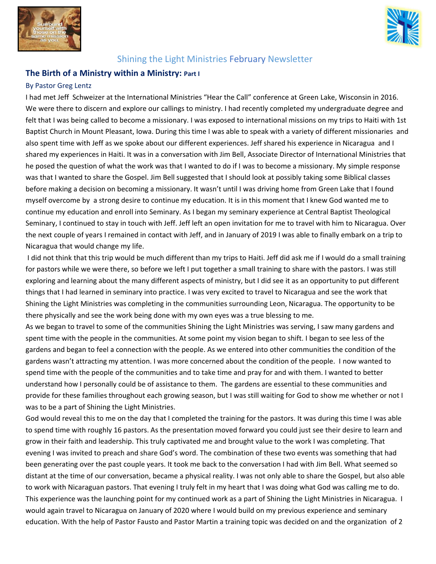



# Shining the Light Ministries February Newsletter

# **The Birth of a Ministry within a Ministry: Part I**

#### By Pastor Greg Lentz

I had met Jeff Schweizer at the International Ministries "Hear the Call" conference at Green Lake, Wisconsin in 2016. We were there to discern and explore our callings to ministry. I had recently completed my undergraduate degree and felt that I was being called to become a missionary. I was exposed to international missions on my trips to Haiti with 1st Baptist Church in Mount Pleasant, Iowa. During this time I was able to speak with a variety of different missionaries and also spent time with Jeff as we spoke about our different experiences. Jeff shared his experience in Nicaragua and I shared my experiences in Haiti. It was in a conversation with Jim Bell, Associate Director of International Ministries that he posed the question of what the work was that I wanted to do if I was to become a missionary. My simple response was that I wanted to share the Gospel. Jim Bell suggested that I should look at possibly taking some Biblical classes before making a decision on becoming a missionary. It wasn't until I was driving home from Green Lake that I found myself overcome by a strong desire to continue my education. It is in this moment that I knew God wanted me to continue my education and enroll into Seminary. As I began my seminary experience at Central Baptist Theological Seminary, I continued to stay in touch with Jeff. Jeff left an open invitation for me to travel with him to Nicaragua. Over the next couple of years I remained in contact with Jeff, and in January of 2019 I was able to finally embark on a trip to Nicaragua that would change my life.

I did not think that this trip would be much different than my trips to Haiti. Jeff did ask me if I would do a small training for pastors while we were there, so before we left I put together a small training to share with the pastors. I was still exploring and learning about the many different aspects of ministry, but I did see it as an opportunity to put different things that I had learned in seminary into practice. I was very excited to travel to Nicaragua and see the work that Shining the Light Ministries was completing in the communities surrounding Leon, Nicaragua. The opportunity to be there physically and see the work being done with my own eyes was a true blessing to me.

As we began to travel to some of the communities Shining the Light Ministries was serving, I saw many gardens and spent time with the people in the communities. At some point my vision began to shift. I began to see less of the gardens and began to feel a connection with the people. As we entered into other communities the condition of the gardens wasn't attracting my attention. I was more concerned about the condition of the people. I now wanted to spend time with the people of the communities and to take time and pray for and with them. I wanted to better understand how I personally could be of assistance to them. The gardens are essential to these communities and provide for these families throughout each growing season, but I was still waiting for God to show me whether or not I was to be a part of Shining the Light Ministries.

God would reveal this to me on the day that I completed the training for the pastors. It was during this time I was able to spend time with roughly 16 pastors. As the presentation moved forward you could just see their desire to learn and grow in their faith and leadership. This truly captivated me and brought value to the work I was completing. That evening I was invited to preach and share God's word. The combination of these two events was something that had been generating over the past couple years. It took me back to the conversation I had with Jim Bell. What seemed so distant at the time of our conversation, became a physical reality. I was not only able to share the Gospel, but also able to work with Nicaraguan pastors. That evening I truly felt in my heart that I was doing what God was calling me to do. This experience was the launching point for my continued work as a part of Shining the Light Ministries in Nicaragua. I would again travel to Nicaragua on January of 2020 where I would build on my previous experience and seminary education. With the help of Pastor Fausto and Pastor Martin a training topic was decided on and the organization of 2